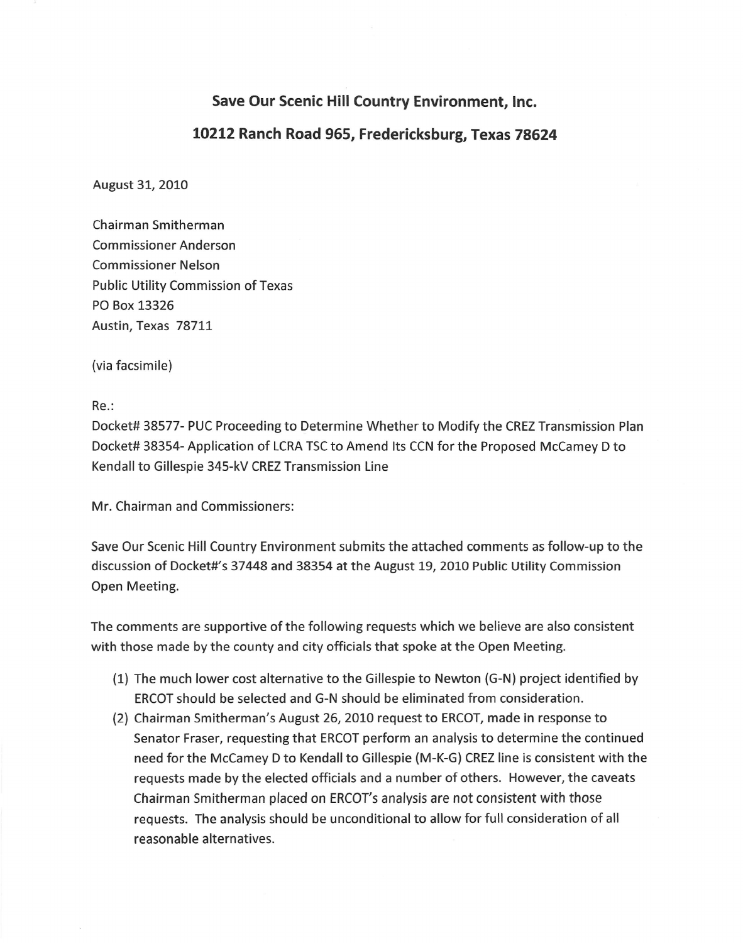## **Save Our Scenic Hill Country Environment, Inc.**

## **10212 Ranch Road 965, Fredericksburg, Texas 78624**

August 31, 2010

Chairman Smitherman Commissioner Anderson Commissioner Nelson Public Utility Commission of Texas PO Box 13326 Austin, Texas 78711

(via facsimile)

Re.:

Docket# 38577- PUC Proceeding to Determine Whether to Modify the CREZ Transmission Plan Docket# 38354- Application of LCRA TSC to Amend Its CCN for the Proposed McCamey D to Kendall to Gillespie 345-kV CREZ Transmission Line

Mr. Chairman and Commissioners:

Save Our Scenic Hill Country Environment submits the attached comments as follow-up to the discussion of Docket#'s 37448 and 38354 at the August 19, 2010 Public Utility Commission Open Meeting.

The comments are supportive of the following requests which we believe are also consistent with those made by the county and city officials that spoke at the Open Meeting.

- (1) The much lower cost alternative to the Gillespie to Newton (G-N) project identified by ERCOT should be selected and G-N should be eliminated from consideration.
- (2) Chairman Smitherman's August 26, 2010 request to ERCOT, made in response to Senator Fraser, requesting that ERCOT perform an analysis to determine the continued need for the McCamey D to Kendall to Gillespie (M-K-G) CREZline is consistent with the requests made by the elected officials and a number of others. However, the caveats Chairman Smitherman placed on ERCOT's analysis are not consistent with those requests. The analysis should be unconditional to allow for full consideration of all reasonable alternatives.